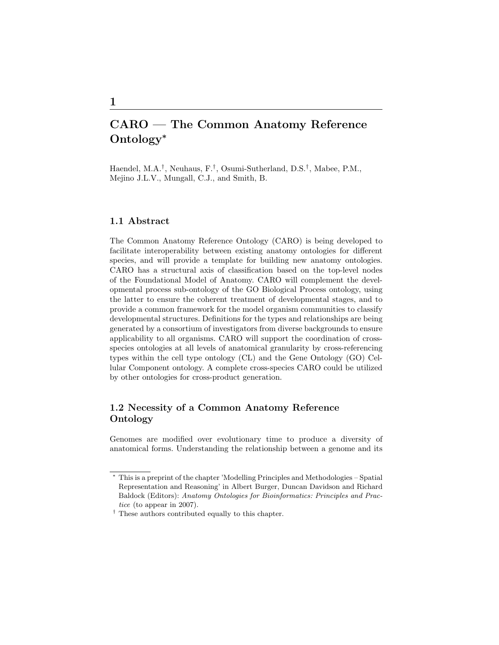# CARO — The Common Anatomy Reference Ontology<sup>∗</sup>

Haendel, M.A.† , Neuhaus, F.† , Osumi-Sutherland, D.S.† , Mabee, P.M., Mejino J.L.V., Mungall, C.J., and Smith, B.

### 1.1 Abstract

The Common Anatomy Reference Ontology (CARO) is being developed to facilitate interoperability between existing anatomy ontologies for different species, and will provide a template for building new anatomy ontologies. CARO has a structural axis of classification based on the top-level nodes of the Foundational Model of Anatomy. CARO will complement the developmental process sub-ontology of the GO Biological Process ontology, using the latter to ensure the coherent treatment of developmental stages, and to provide a common framework for the model organism communities to classify developmental structures. Definitions for the types and relationships are being generated by a consortium of investigators from diverse backgrounds to ensure applicability to all organisms. CARO will support the coordination of crossspecies ontologies at all levels of anatomical granularity by cross-referencing types within the cell type ontology (CL) and the Gene Ontology (GO) Cellular Component ontology. A complete cross-species CARO could be utilized by other ontologies for cross-product generation.

## 1.2 Necessity of a Common Anatomy Reference Ontology

Genomes are modified over evolutionary time to produce a diversity of anatomical forms. Understanding the relationship between a genome and its

<sup>∗</sup> This is a preprint of the chapter 'Modelling Principles and Methodologies – Spatial Representation and Reasoning' in Albert Burger, Duncan Davidson and Richard Baldock (Editors): Anatomy Ontologies for Bioinformatics: Principles and Practice (to appear in 2007).

<sup>†</sup> These authors contributed equally to this chapter.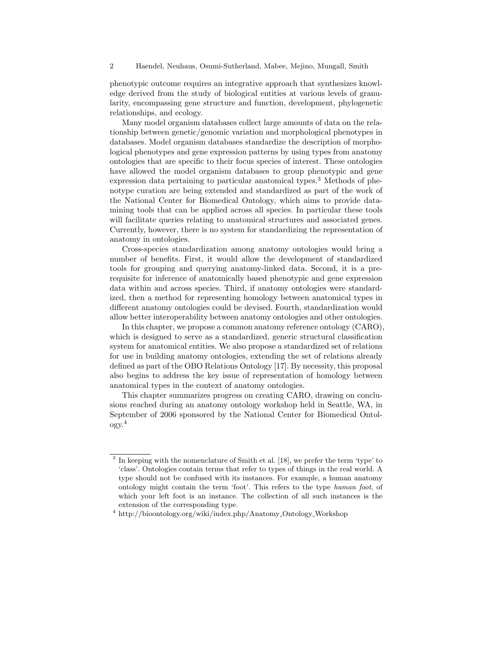phenotypic outcome requires an integrative approach that synthesizes knowledge derived from the study of biological entities at various levels of granularity, encompassing gene structure and function, development, phylogenetic relationships, and ecology.

Many model organism databases collect large amounts of data on the relationship between genetic/genomic variation and morphological phenotypes in databases. Model organism databases standardize the description of morphological phenotypes and gene expression patterns by using types from anatomy ontologies that are specific to their focus species of interest. These ontologies have allowed the model organism databases to group phenotypic and gene expression data pertaining to particular anatomical types.<sup>3</sup> Methods of phenotype curation are being extended and standardized as part of the work of the National Center for Biomedical Ontology, which aims to provide datamining tools that can be applied across all species. In particular these tools will facilitate queries relating to anatomical structures and associated genes. Currently, however, there is no system for standardizing the representation of anatomy in ontologies.

Cross-species standardization among anatomy ontologies would bring a number of benefits. First, it would allow the development of standardized tools for grouping and querying anatomy-linked data. Second, it is a prerequisite for inference of anatomically based phenotypic and gene expression data within and across species. Third, if anatomy ontologies were standardized, then a method for representing homology between anatomical types in different anatomy ontologies could be devised. Fourth, standardization would allow better interoperability between anatomy ontologies and other ontologies.

In this chapter, we propose a common anatomy reference ontology (CARO), which is designed to serve as a standardized, generic structural classification system for anatomical entities. We also propose a standardized set of relations for use in building anatomy ontologies, extending the set of relations already defined as part of the OBO Relations Ontology [17]. By necessity, this proposal also begins to address the key issue of representation of homology between anatomical types in the context of anatomy ontologies.

This chapter summarizes progress on creating CARO, drawing on conclusions reached during an anatomy ontology workshop held in Seattle, WA, in September of 2006 sponsored by the National Center for Biomedical Ontology.<sup>4</sup>

<sup>3</sup> In keeping with the nomenclature of Smith et al. [18], we prefer the term 'type' to 'class'. Ontologies contain terms that refer to types of things in the real world. A type should not be confused with its instances. For example, a human anatomy ontology might contain the term 'foot'. This refers to the type human foot, of which your left foot is an instance. The collection of all such instances is the extension of the corresponding type.

<sup>4</sup> http://bioontology.org/wiki/index.php/Anatomy Ontology Workshop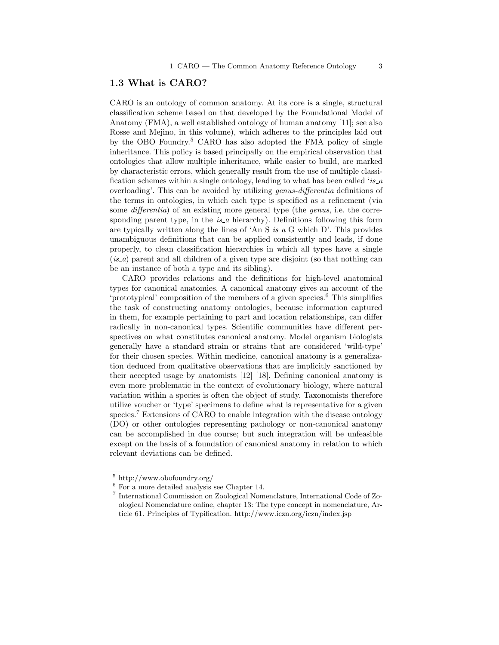#### 1.3 What is CARO?

CARO is an ontology of common anatomy. At its core is a single, structural classification scheme based on that developed by the Foundational Model of Anatomy (FMA), a well established ontology of human anatomy [11]; see also Rosse and Mejino, in this volume), which adheres to the principles laid out by the OBO Foundry.<sup>5</sup> CARO has also adopted the FMA policy of single inheritance. This policy is based principally on the empirical observation that ontologies that allow multiple inheritance, while easier to build, are marked by characteristic errors, which generally result from the use of multiple classification schemes within a single ontology, leading to what has been called 'is  $a$ overloading'. This can be avoided by utilizing genus-differentia definitions of the terms in ontologies, in which each type is specified as a refinement (via some *differentia*) of an existing more general type (the *genus*, i.e. the corresponding parent type, in the  $is_a$  hierarchy). Definitions following this form are typically written along the lines of 'An S  $is_a$  G which D'. This provides unambiguous definitions that can be applied consistently and leads, if done properly, to clean classification hierarchies in which all types have a single  $(is_4)$  parent and all children of a given type are disjoint (so that nothing can be an instance of both a type and its sibling).

CARO provides relations and the definitions for high-level anatomical types for canonical anatomies. A canonical anatomy gives an account of the 'prototypical' composition of the members of a given species.<sup>6</sup> This simplifies the task of constructing anatomy ontologies, because information captured in them, for example pertaining to part and location relationships, can differ radically in non-canonical types. Scientific communities have different perspectives on what constitutes canonical anatomy. Model organism biologists generally have a standard strain or strains that are considered 'wild-type' for their chosen species. Within medicine, canonical anatomy is a generalization deduced from qualitative observations that are implicitly sanctioned by their accepted usage by anatomists [12] [18]. Defining canonical anatomy is even more problematic in the context of evolutionary biology, where natural variation within a species is often the object of study. Taxonomists therefore utilize voucher or 'type' specimens to define what is representative for a given species.<sup>7</sup> Extensions of CARO to enable integration with the disease ontology (DO) or other ontologies representing pathology or non-canonical anatomy can be accomplished in due course; but such integration will be unfeasible except on the basis of a foundation of canonical anatomy in relation to which relevant deviations can be defined.

 $^{5}$  http://www.obofoundry.org/<br> $^{6}$  For a more detailed analysis

<sup>6</sup> For a more detailed analysis see Chapter 14.

<sup>7</sup> International Commission on Zoological Nomenclature, International Code of Zoological Nomenclature online, chapter 13: The type concept in nomenclature, Article 61. Principles of Typification. http://www.iczn.org/iczn/index.jsp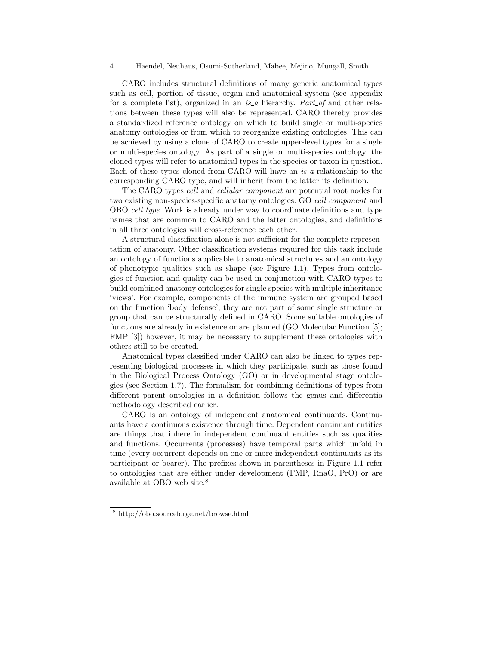CARO includes structural definitions of many generic anatomical types such as cell, portion of tissue, organ and anatomical system (see appendix for a complete list), organized in an  $is_a$  hierarchy. Part of and other relations between these types will also be represented. CARO thereby provides a standardized reference ontology on which to build single or multi-species anatomy ontologies or from which to reorganize existing ontologies. This can be achieved by using a clone of CARO to create upper-level types for a single or multi-species ontology. As part of a single or multi-species ontology, the cloned types will refer to anatomical types in the species or taxon in question. Each of these types cloned from CARO will have an  $is_a$  relationship to the corresponding CARO type, and will inherit from the latter its definition.

The CARO types cell and cellular component are potential root nodes for two existing non-species-specific anatomy ontologies: GO cell component and OBO cell type. Work is already under way to coordinate definitions and type names that are common to CARO and the latter ontologies, and definitions in all three ontologies will cross-reference each other.

A structural classification alone is not sufficient for the complete representation of anatomy. Other classification systems required for this task include an ontology of functions applicable to anatomical structures and an ontology of phenotypic qualities such as shape (see Figure 1.1). Types from ontologies of function and quality can be used in conjunction with CARO types to build combined anatomy ontologies for single species with multiple inheritance 'views'. For example, components of the immune system are grouped based on the function 'body defense'; they are not part of some single structure or group that can be structurally defined in CARO. Some suitable ontologies of functions are already in existence or are planned (GO Molecular Function [5]; FMP [3]) however, it may be necessary to supplement these ontologies with others still to be created.

Anatomical types classified under CARO can also be linked to types representing biological processes in which they participate, such as those found in the Biological Process Ontology (GO) or in developmental stage ontologies (see Section 1.7). The formalism for combining definitions of types from different parent ontologies in a definition follows the genus and differentia methodology described earlier.

CARO is an ontology of independent anatomical continuants. Continuants have a continuous existence through time. Dependent continuant entities are things that inhere in independent continuant entities such as qualities and functions. Occurrents (processes) have temporal parts which unfold in time (every occurrent depends on one or more independent continuants as its participant or bearer). The prefixes shown in parentheses in Figure 1.1 refer to ontologies that are either under development (FMP, RnaO, PrO) or are available at OBO web site.<sup>8</sup>

<sup>8</sup> http://obo.sourceforge.net/browse.html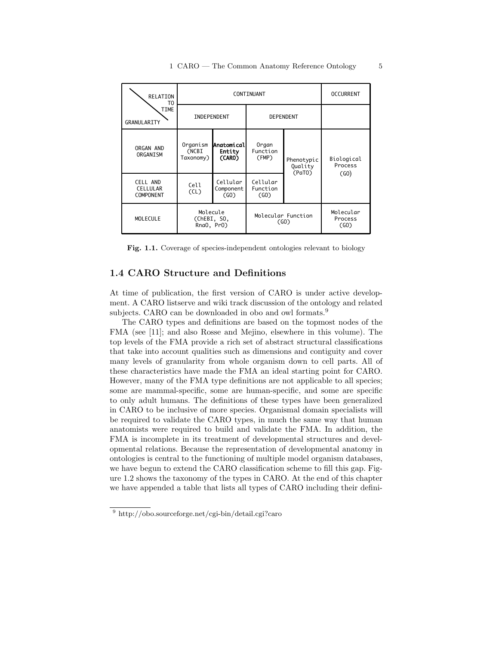| <b>RELATION</b><br>T0                    | CONTINUANT                            |                                               |                              |                                 | <b>OCCURRENT</b>             |
|------------------------------------------|---------------------------------------|-----------------------------------------------|------------------------------|---------------------------------|------------------------------|
| <b>TIME</b><br>GRANULARITY               | INDEPENDENT                           |                                               | <b>DEPENDENT</b>             |                                 |                              |
| ORGAN AND<br>ORGANISM                    | Organism<br>(NCBI<br>Taxonomy)        | <b>Anatomicall</b><br><b>Entity</b><br>(CARO) | Organ<br>Function<br>(FMP)   | Phenotypic<br>Quality<br>(PaT0) | Biological<br>Process        |
| CELL AND<br>CELLULAR<br><b>COMPONENT</b> | Cell<br>CL                            | Cellular<br>Component<br>(GO)                 | Cellular<br>Function<br>(GO) |                                 | (GO)                         |
| <b>MOLECULE</b>                          | Molecule<br>(ChEBI, SO,<br>Rna0, Pr0) |                                               | Molecular Function<br>(GO)   |                                 | Molecular<br>Process<br>(GO) |

Fig. 1.1. Coverage of species-independent ontologies relevant to biology

## 1.4 CARO Structure and Definitions

At time of publication, the first version of CARO is under active development. A CARO listserve and wiki track discussion of the ontology and related subjects. CARO can be downloaded in obo and owl formats.<sup>9</sup>

The CARO types and definitions are based on the topmost nodes of the FMA (see [11]; and also Rosse and Mejino, elsewhere in this volume). The top levels of the FMA provide a rich set of abstract structural classifications that take into account qualities such as dimensions and contiguity and cover many levels of granularity from whole organism down to cell parts. All of these characteristics have made the FMA an ideal starting point for CARO. However, many of the FMA type definitions are not applicable to all species; some are mammal-specific, some are human-specific, and some are specific to only adult humans. The definitions of these types have been generalized in CARO to be inclusive of more species. Organismal domain specialists will be required to validate the CARO types, in much the same way that human anatomists were required to build and validate the FMA. In addition, the FMA is incomplete in its treatment of developmental structures and developmental relations. Because the representation of developmental anatomy in ontologies is central to the functioning of multiple model organism databases, we have begun to extend the CARO classification scheme to fill this gap. Figure 1.2 shows the taxonomy of the types in CARO. At the end of this chapter we have appended a table that lists all types of CARO including their defini-

<sup>9</sup> http://obo.sourceforge.net/cgi-bin/detail.cgi?caro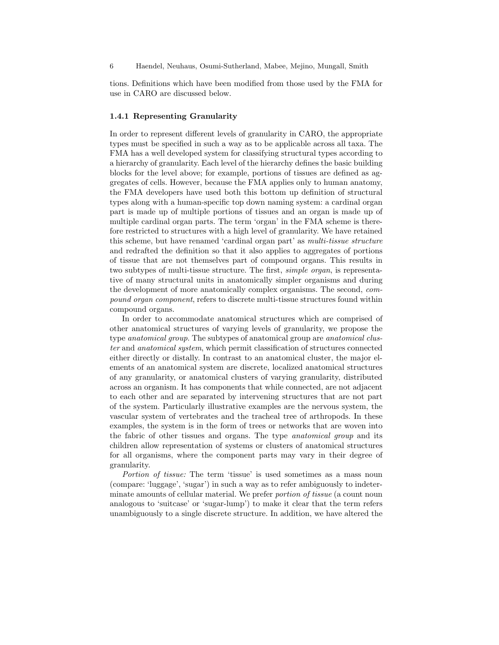tions. Definitions which have been modified from those used by the FMA for use in CARO are discussed below.

#### 1.4.1 Representing Granularity

In order to represent different levels of granularity in CARO, the appropriate types must be specified in such a way as to be applicable across all taxa. The FMA has a well developed system for classifying structural types according to a hierarchy of granularity. Each level of the hierarchy defines the basic building blocks for the level above; for example, portions of tissues are defined as aggregates of cells. However, because the FMA applies only to human anatomy, the FMA developers have used both this bottom up definition of structural types along with a human-specific top down naming system: a cardinal organ part is made up of multiple portions of tissues and an organ is made up of multiple cardinal organ parts. The term 'organ' in the FMA scheme is therefore restricted to structures with a high level of granularity. We have retained this scheme, but have renamed 'cardinal organ part' as multi-tissue structure and redrafted the definition so that it also applies to aggregates of portions of tissue that are not themselves part of compound organs. This results in two subtypes of multi-tissue structure. The first, simple organ, is representative of many structural units in anatomically simpler organisms and during the development of more anatomically complex organisms. The second, compound organ component, refers to discrete multi-tissue structures found within compound organs.

In order to accommodate anatomical structures which are comprised of other anatomical structures of varying levels of granularity, we propose the type *anatomical group*. The subtypes of anatomical group are *anatomical clus*ter and anatomical system, which permit classification of structures connected either directly or distally. In contrast to an anatomical cluster, the major elements of an anatomical system are discrete, localized anatomical structures of any granularity, or anatomical clusters of varying granularity, distributed across an organism. It has components that while connected, are not adjacent to each other and are separated by intervening structures that are not part of the system. Particularly illustrative examples are the nervous system, the vascular system of vertebrates and the tracheal tree of arthropods. In these examples, the system is in the form of trees or networks that are woven into the fabric of other tissues and organs. The type anatomical group and its children allow representation of systems or clusters of anatomical structures for all organisms, where the component parts may vary in their degree of granularity.

Portion of tissue: The term 'tissue' is used sometimes as a mass noun (compare: 'luggage', 'sugar') in such a way as to refer ambiguously to indeterminate amounts of cellular material. We prefer portion of tissue (a count noun analogous to 'suitcase' or 'sugar-lump') to make it clear that the term refers unambiguously to a single discrete structure. In addition, we have altered the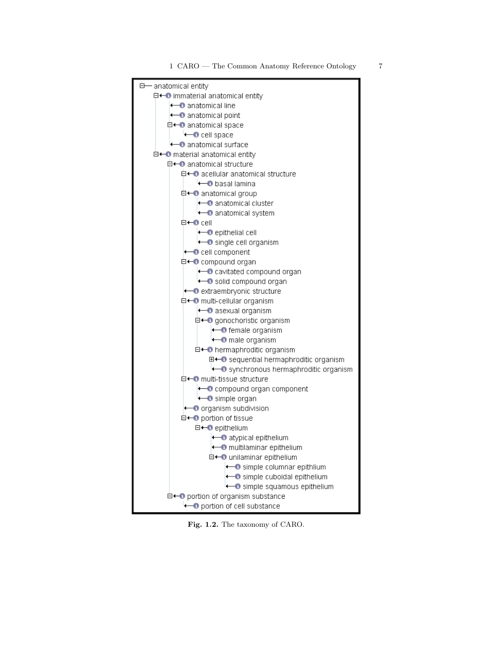1 CARO — The Common Anatomy Reference Ontology 7



Fig. 1.2. The taxonomy of CARO.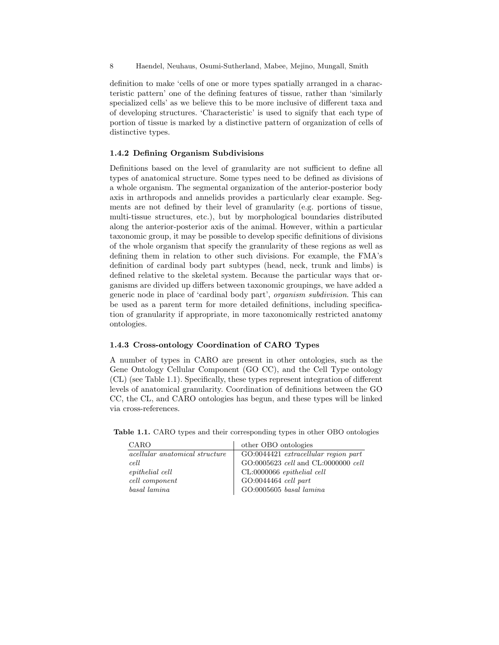definition to make 'cells of one or more types spatially arranged in a characteristic pattern' one of the defining features of tissue, rather than 'similarly specialized cells' as we believe this to be more inclusive of different taxa and of developing structures. 'Characteristic' is used to signify that each type of portion of tissue is marked by a distinctive pattern of organization of cells of distinctive types.

#### 1.4.2 Defining Organism Subdivisions

Definitions based on the level of granularity are not sufficient to define all types of anatomical structure. Some types need to be defined as divisions of a whole organism. The segmental organization of the anterior-posterior body axis in arthropods and annelids provides a particularly clear example. Segments are not defined by their level of granularity (e.g. portions of tissue, multi-tissue structures, etc.), but by morphological boundaries distributed along the anterior-posterior axis of the animal. However, within a particular taxonomic group, it may be possible to develop specific definitions of divisions of the whole organism that specify the granularity of these regions as well as defining them in relation to other such divisions. For example, the FMA's definition of cardinal body part subtypes (head, neck, trunk and limbs) is defined relative to the skeletal system. Because the particular ways that organisms are divided up differs between taxonomic groupings, we have added a generic node in place of 'cardinal body part', organism subdivision. This can be used as a parent term for more detailed definitions, including specification of granularity if appropriate, in more taxonomically restricted anatomy ontologies.

#### 1.4.3 Cross-ontology Coordination of CARO Types

A number of types in CARO are present in other ontologies, such as the Gene Ontology Cellular Component (GO CC), and the Cell Type ontology (CL) (see Table 1.1). Specifically, these types represent integration of different levels of anatomical granularity. Coordination of definitions between the GO CC, the CL, and CARO ontologies has begun, and these types will be linked via cross-references.

| CARO                                  | other OBO ontologies                 |
|---------------------------------------|--------------------------------------|
| <i>acellular anatomical structure</i> | GO:0044421 extracellular region part |
| cell                                  | GO:0005623 cell and CL:0000000 cell  |
| <i>epithelial cell</i>                | CL:0000066 epithelial cell           |
| cell component                        | GO:0044464 cell part                 |
| basal lamina                          | $GO:0005605$ basal lamina            |

Table 1.1. CARO types and their corresponding types in other OBO ontologies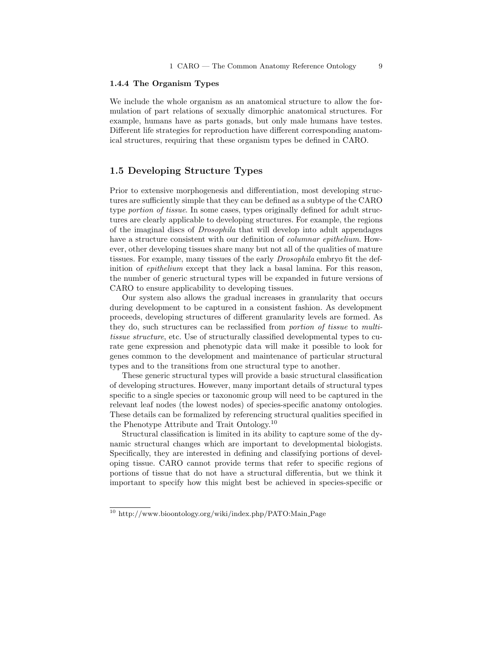#### 1.4.4 The Organism Types

We include the whole organism as an anatomical structure to allow the formulation of part relations of sexually dimorphic anatomical structures. For example, humans have as parts gonads, but only male humans have testes. Different life strategies for reproduction have different corresponding anatomical structures, requiring that these organism types be defined in CARO.

## 1.5 Developing Structure Types

Prior to extensive morphogenesis and differentiation, most developing structures are sufficiently simple that they can be defined as a subtype of the CARO type portion of tissue. In some cases, types originally defined for adult structures are clearly applicable to developing structures. For example, the regions of the imaginal discs of Drosophila that will develop into adult appendages have a structure consistent with our definition of columnar epithelium. However, other developing tissues share many but not all of the qualities of mature tissues. For example, many tissues of the early Drosophila embryo fit the definition of epithelium except that they lack a basal lamina. For this reason, the number of generic structural types will be expanded in future versions of CARO to ensure applicability to developing tissues.

Our system also allows the gradual increases in granularity that occurs during development to be captured in a consistent fashion. As development proceeds, developing structures of different granularity levels are formed. As they do, such structures can be reclassified from portion of tissue to multitissue structure, etc. Use of structurally classified developmental types to curate gene expression and phenotypic data will make it possible to look for genes common to the development and maintenance of particular structural types and to the transitions from one structural type to another.

These generic structural types will provide a basic structural classification of developing structures. However, many important details of structural types specific to a single species or taxonomic group will need to be captured in the relevant leaf nodes (the lowest nodes) of species-specific anatomy ontologies. These details can be formalized by referencing structural qualities specified in the Phenotype Attribute and Trait Ontology.<sup>10</sup>

Structural classification is limited in its ability to capture some of the dynamic structural changes which are important to developmental biologists. Specifically, they are interested in defining and classifying portions of developing tissue. CARO cannot provide terms that refer to specific regions of portions of tissue that do not have a structural differentia, but we think it important to specify how this might best be achieved in species-specific or

<sup>10</sup> http://www.bioontology.org/wiki/index.php/PATO:Main Page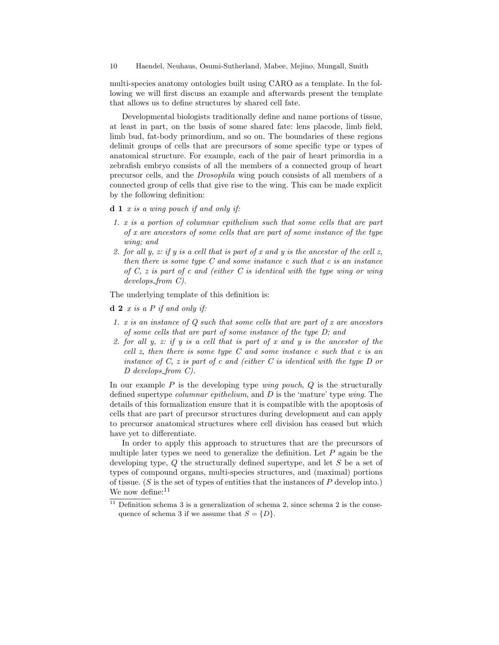multi-species anatomy ontologies built using CARO as a template. In the following we will first discuss an example and afterwards present the template that allows us to define structures by shared cell fate.

Developmental biologists traditionally define and name portions of tissue, at least in part, on the basis of some shared fate: lens placode, limb field, limb bud, fat-body primordium, and so on. The boundaries of these regions delimit groups of cells that are precursors of some specific type or types of anatomical structure. For example, each of the pair of heart primordia in a zebrafish embryo consists of all the members of a connected group of heart precursor cells, and the Drosophila wing pouch consists of all members of a connected group of cells that give rise to the wing. This can be made explicit by the following definition:

#### $d\mathbf{1}$  x is a wing pouch if and only if:

- 1. x is a portion of columnar epithelium such that some cells that are part of x are ancestors of some cells that are part of some instance of the type wing; and
- 2. for all y, z: if y is a cell that is part of x and y is the ancestor of the cell z, then there is some type  $C$  and some instance  $c$  such that  $c$  is an instance of  $C$ , z is part of c and (either  $C$  is identical with the type wing or wing develops\_from C).

The underlying template of this definition is:

 $d 2 x is a P if and only if:$ 

- 1. x is an instance of Q such that some cells that are part of x are ancestors of some cells that are part of some instance of the type D; and
- 2. for all y, z: if y is a cell that is part of x and y is the ancestor of the cell  $z$ , then there is some type  $C$  and some instance  $c$  such that  $c$  is an instance of  $C$ ,  $z$  is part of  $c$  and (either  $C$  is identical with the type  $D$  or D develops\_from C).

In our example  $P$  is the developing type *wing pouch*,  $Q$  is the structurally defined supertype columnar epithelium, and D is the 'mature' type wing. The details of this formalization ensure that it is compatible with the apoptosis of cells that are part of precursor structures during development and can apply to precursor anatomical structures where cell division has ceased but which have yet to differentiate.

In order to apply this approach to structures that are the precursors of multiple later types we need to generalize the definition. Let  $P$  again be the developing type, Q the structurally defined supertype, and let S be a set of types of compound organs, multi-species structures, and (maximal) portions of tissue.  $(S$  is the set of types of entities that the instances of  $P$  develop into.) We now define:<sup>11</sup>

 $11$  Definition schema 3 is a generalization of schema 2, since schema 2 is the consequence of schema 3 if we assume that  $S = \{D\}.$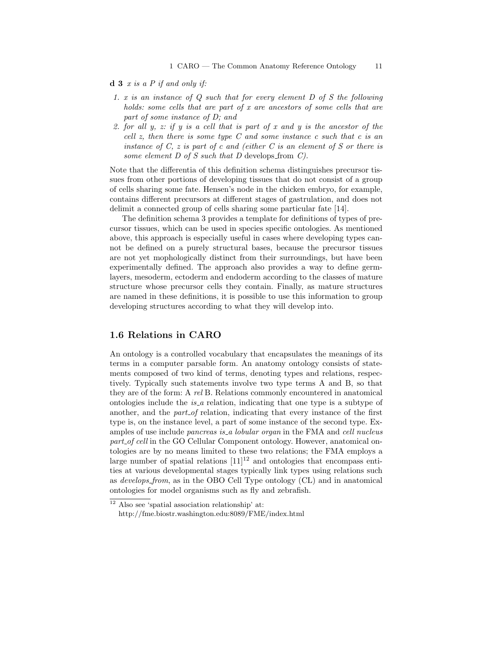$\bf d \ 3$  x is a P if and only if:

- 1. x is an instance of  $Q$  such that for every element  $D$  of  $S$  the following holds: some cells that are part of x are ancestors of some cells that are part of some instance of D; and
- 2. for all y, z: if y is a cell that is part of x and y is the ancestor of the cell z, then there is some type  $C$  and some instance c such that c is an instance of C, z is part of c and (either C is an element of S or there is some element  $D$  of  $S$  such that  $D$  develops from  $C$ ).

Note that the differentia of this definition schema distinguishes precursor tissues from other portions of developing tissues that do not consist of a group of cells sharing some fate. Hensen's node in the chicken embryo, for example, contains different precursors at different stages of gastrulation, and does not delimit a connected group of cells sharing some particular fate [14].

The definition schema 3 provides a template for definitions of types of precursor tissues, which can be used in species specific ontologies. As mentioned above, this approach is especially useful in cases where developing types cannot be defined on a purely structural bases, because the precursor tissues are not yet mophologically distinct from their surroundings, but have been experimentally defined. The approach also provides a way to define germlayers, mesoderm, ectoderm and endoderm according to the classes of mature structure whose precursor cells they contain. Finally, as mature structures are named in these definitions, it is possible to use this information to group developing structures according to what they will develop into.

## 1.6 Relations in CARO

An ontology is a controlled vocabulary that encapsulates the meanings of its terms in a computer parsable form. An anatomy ontology consists of statements composed of two kind of terms, denoting types and relations, respectively. Typically such statements involve two type terms A and B, so that they are of the form: A rel B. Relations commonly encountered in anatomical ontologies include the is a relation, indicating that one type is a subtype of another, and the *part of* relation, indicating that every instance of the first type is, on the instance level, a part of some instance of the second type. Examples of use include *pancreas is a lobular organ* in the FMA and *cell nucleus* part of cell in the GO Cellular Component ontology. However, anatomical ontologies are by no means limited to these two relations; the FMA employs a large number of spatial relations  $[11]^{12}$  and ontologies that encompass entities at various developmental stages typically link types using relations such as develops from, as in the OBO Cell Type ontology (CL) and in anatomical ontologies for model organisms such as fly and zebrafish.

 $^{12}$  Also see 'spatial association relationship' at:

http://fme.biostr.washington.edu:8089/FME/index.html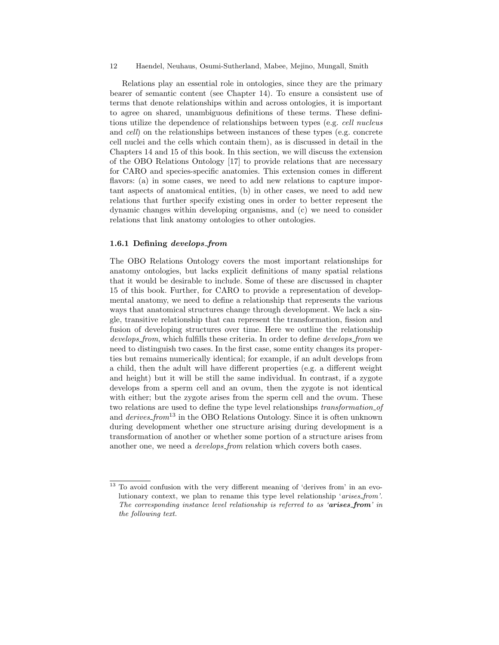Relations play an essential role in ontologies, since they are the primary bearer of semantic content (see Chapter 14). To ensure a consistent use of terms that denote relationships within and across ontologies, it is important to agree on shared, unambiguous definitions of these terms. These definitions utilize the dependence of relationships between types (e.g. cell nucleus and cell) on the relationships between instances of these types (e.g. concrete cell nuclei and the cells which contain them), as is discussed in detail in the Chapters 14 and 15 of this book. In this section, we will discuss the extension of the OBO Relations Ontology [17] to provide relations that are necessary for CARO and species-specific anatomies. This extension comes in different flavors: (a) in some cases, we need to add new relations to capture important aspects of anatomical entities, (b) in other cases, we need to add new relations that further specify existing ones in order to better represent the dynamic changes within developing organisms, and (c) we need to consider relations that link anatomy ontologies to other ontologies.

#### 1.6.1 Defining develops\_from

The OBO Relations Ontology covers the most important relationships for anatomy ontologies, but lacks explicit definitions of many spatial relations that it would be desirable to include. Some of these are discussed in chapter 15 of this book. Further, for CARO to provide a representation of developmental anatomy, we need to define a relationship that represents the various ways that anatomical structures change through development. We lack a single, transitive relationship that can represent the transformation, fission and fusion of developing structures over time. Here we outline the relationship develops from, which fulfills these criteria. In order to define *develops from* we need to distinguish two cases. In the first case, some entity changes its properties but remains numerically identical; for example, if an adult develops from a child, then the adult will have different properties (e.g. a different weight and height) but it will be still the same individual. In contrast, if a zygote develops from a sperm cell and an ovum, then the zygote is not identical with either; but the zygote arises from the sperm cell and the ovum. These two relations are used to define the type level relationships transformation of and  $derives\_from^{13}$  in the OBO Relations Ontology. Since it is often unknown during development whether one structure arising during development is a transformation of another or whether some portion of a structure arises from another one, we need a develops from relation which covers both cases.

<sup>12</sup> Haendel, Neuhaus, Osumi-Sutherland, Mabee, Mejino, Mungall, Smith

<sup>&</sup>lt;sup>13</sup> To avoid confusion with the very different meaning of 'derives from' in an evolutionary context, we plan to rename this type level relationship 'arises from'. The corresponding instance level relationship is referred to as 'arises\_from' in the following text.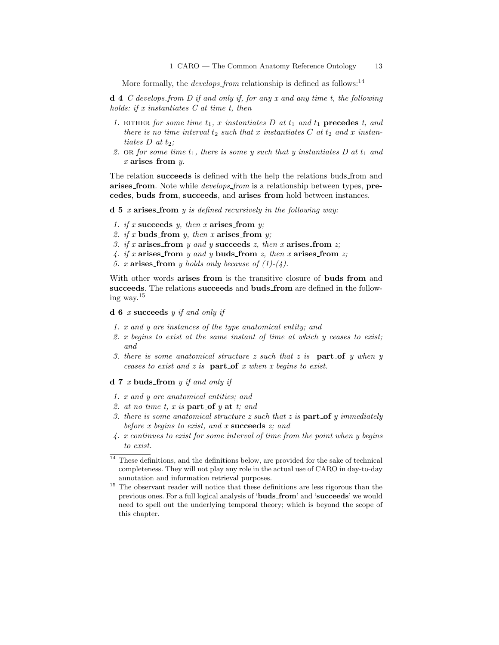More formally, the *develops\_from* relationship is defined as follows:<sup>14</sup>

 $d$  4  $C$  develops\_from  $D$  if and only if, for any  $x$  and any time  $t$ , the following holds: if x instantiates C at time t, then

- 1. EITHER for some time  $t_1$ , x instantiates D at  $t_1$  and  $t_1$  precedes t, and there is no time interval  $t_2$  such that x instantiates C at  $t_2$  and x instantiates  $D$  at  $t_2$ ;
- 2. OR for some time  $t_1$ , there is some y such that y instantiates D at  $t_1$  and  $x$  arises\_from  $y$ .

The relation succeeds is defined with the help the relations buds from and arises from. Note while develops from is a relationship between types, precedes, buds from, succeeds, and arises from hold between instances.

 $d 5$  x arises from y is defined recursively in the following way:

- 1. if x succeeds y, then x arises from y;
- 2. if x buds from y, then x arises from y;
- 3. if x arises\_from y and y succeeds z, then x arises\_from z;
- 4. if x arises from y and y buds from z, then x arises from z;
- 5. x arises\_from y holds only because of  $(1)-(4)$ .

With other words arises\_from is the transitive closure of buds\_from and succeeds. The relations succeeds and buds from are defined in the following way.<sup>15</sup>

#### $d\ 6\ x$  succeeds y if and only if

- 1. x and y are instances of the type anatomical entity; and
- 2. x begins to exist at the same instant of time at which y ceases to exist; and
- 3. there is some anatomical structure z such that z is **part of** y when y ceases to exist and  $z$  is **part of** x when x begins to exist.

#### $d 7$  x buds\_from y if and only if

- 1. x and y are anatomical entities; and
- 2. at no time t, x is part of y at t; and
- 3. there is some anatomical structure  $z$  such that  $z$  is  $part_of y$  immediately before  $x$  begins to exist, and  $x$  succeeds  $z$ ; and
- 4. x continues to exist for some interval of time from the point when y begins to exist.

 $^{14}$  These definitions, and the definitions below, are provided for the sake of technical completeness. They will not play any role in the actual use of CARO in day-to-day annotation and information retrieval purposes.

 $^{15}$  The observant reader will notice that these definitions are less rigorous than the  $\,$ previous ones. For a full logical analysis of 'buds from' and 'succeeds' we would need to spell out the underlying temporal theory; which is beyond the scope of this chapter.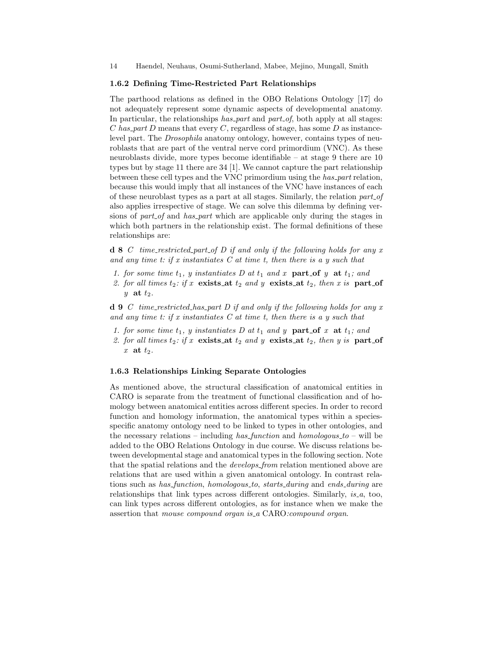#### 1.6.2 Defining Time-Restricted Part Relationships

The parthood relations as defined in the OBO Relations Ontology [17] do not adequately represent some dynamic aspects of developmental anatomy. In particular, the relationships has part and part of, both apply at all stages: C has part D means that every C, regardless of stage, has some D as instancelevel part. The Drosophila anatomy ontology, however, contains types of neuroblasts that are part of the ventral nerve cord primordium (VNC). As these neuroblasts divide, more types become identifiable – at stage 9 there are 10 types but by stage 11 there are 34 [1]. We cannot capture the part relationship between these cell types and the VNC primordium using the has-part relation, because this would imply that all instances of the VNC have instances of each of these neuroblast types as a part at all stages. Similarly, the relation part of also applies irrespective of stage. We can solve this dilemma by defining versions of *part of* and *has part* which are applicable only during the stages in which both partners in the relationship exist. The formal definitions of these relationships are:

 $d 8$  C time\_restricted\_part\_of D if and only if the following holds for any x and any time t: if x instantiates  $C$  at time t, then there is a y such that

- 1. for some time  $t_1$ , y instantiates D at  $t_1$  and x part of y at  $t_1$ ; and
- 2. for all times  $t_2$ : if x exists at  $t_2$  and y exists at  $t_2$ , then x is part of y at  $t_2$ .

**d 9** C time\_restricted\_has\_part D if and only if the following holds for any x and any time t: if x instantiates  $C$  at time t, then there is a y such that

- 1. for some time  $t_1$ , y instantiates D at  $t_1$  and y **part of** x **at**  $t_1$ ; and
- 2. for all times  $t_2$ : if x exists at  $t_2$  and y exists at  $t_2$ , then y is part of x at  $t_2$ .

#### 1.6.3 Relationships Linking Separate Ontologies

As mentioned above, the structural classification of anatomical entities in CARO is separate from the treatment of functional classification and of homology between anatomical entities across different species. In order to record function and homology information, the anatomical types within a speciesspecific anatomy ontology need to be linked to types in other ontologies, and the necessary relations – including has function and homologous to – will be added to the OBO Relations Ontology in due course. We discuss relations between developmental stage and anatomical types in the following section. Note that the spatial relations and the *develops\_from* relation mentioned above are relations that are used within a given anatomical ontology. In contrast relations such as has function, homologous to, starts during and ends during are relationships that link types across different ontologies. Similarly,  $is_4$ , too, can link types across different ontologies, as for instance when we make the assertion that mouse compound organ is a CARO:compound organ.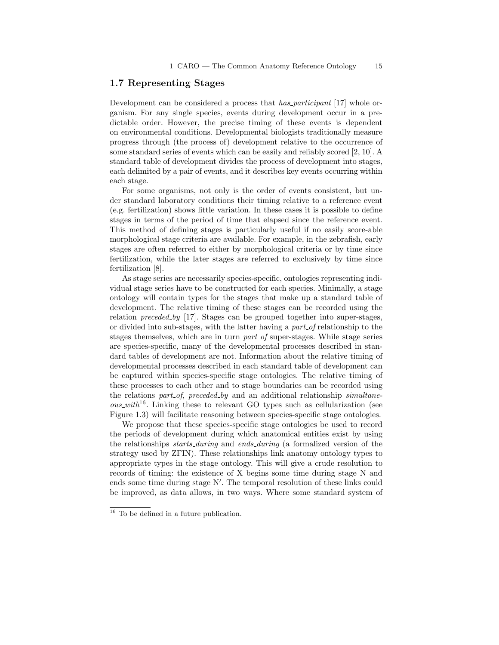#### 1.7 Representing Stages

Development can be considered a process that has *participant* [17] whole organism. For any single species, events during development occur in a predictable order. However, the precise timing of these events is dependent on environmental conditions. Developmental biologists traditionally measure progress through (the process of) development relative to the occurrence of some standard series of events which can be easily and reliably scored [2, 10]. A standard table of development divides the process of development into stages, each delimited by a pair of events, and it describes key events occurring within each stage.

For some organisms, not only is the order of events consistent, but under standard laboratory conditions their timing relative to a reference event (e.g. fertilization) shows little variation. In these cases it is possible to define stages in terms of the period of time that elapsed since the reference event. This method of defining stages is particularly useful if no easily score-able morphological stage criteria are available. For example, in the zebrafish, early stages are often referred to either by morphological criteria or by time since fertilization, while the later stages are referred to exclusively by time since fertilization [8].

As stage series are necessarily species-specific, ontologies representing individual stage series have to be constructed for each species. Minimally, a stage ontology will contain types for the stages that make up a standard table of development. The relative timing of these stages can be recorded using the relation *preceded by* [17]. Stages can be grouped together into super-stages, or divided into sub-stages, with the latter having a  $part\_of$  relationship to the stages themselves, which are in turn *part of* super-stages. While stage series are species-specific, many of the developmental processes described in standard tables of development are not. Information about the relative timing of developmental processes described in each standard table of development can be captured within species-specific stage ontologies. The relative timing of these processes to each other and to stage boundaries can be recorded using the relations part of, preceded by and an additional relationship simultane $ous\_with^{16}$ . Linking these to relevant GO types such as cellularization (see Figure 1.3) will facilitate reasoning between species-specific stage ontologies.

We propose that these species-specific stage ontologies be used to record the periods of development during which anatomical entities exist by using the relationships starts during and ends during (a formalized version of the strategy used by ZFIN). These relationships link anatomy ontology types to appropriate types in the stage ontology. This will give a crude resolution to records of timing: the existence of X begins some time during stage N and ends some time during stage N'. The temporal resolution of these links could be improved, as data allows, in two ways. Where some standard system of

 $^{16}$  To be defined in a future publication.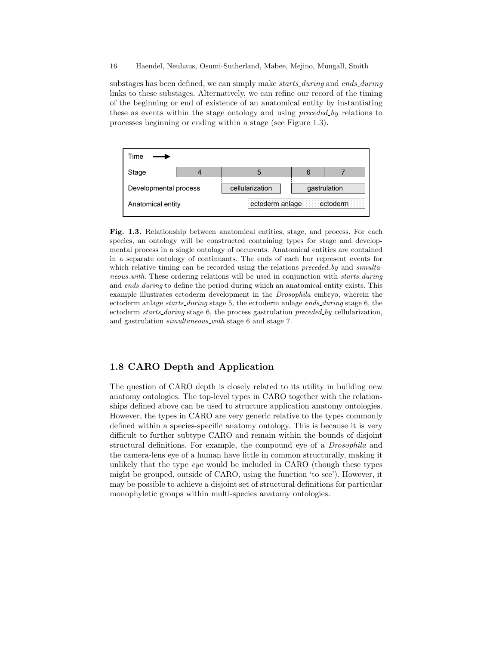substages has been defined, we can simply make *starts\_during* and *ends\_during* links to these substages. Alternatively, we can refine our record of the timing of the beginning or end of existence of an anatomical entity by instantiating these as events within the stage ontology and using *preceded by* relations to processes beginning or ending within a stage (see Figure 1.3).



Fig. 1.3. Relationship between anatomical entities, stage, and process. For each species, an ontology will be constructed containing types for stage and developmental process in a single ontology of occurents. Anatomical entities are contained in a separate ontology of continuants. The ends of each bar represent events for which relative timing can be recorded using the relations  $preceded\_by$  and  $simulta$ neous with. These ordering relations will be used in conjunction with *starts during* and ends\_during to define the period during which an anatomical entity exists. This example illustrates ectoderm development in the Drosophila embryo, wherein the ectoderm anlage *starts\_during* stage 5, the ectoderm anlage *ends\_during* stage 6, the ectoderm starts during stage 6, the process gastrulation preceded by cellularization, and gastrulation  $simultaneous\_with$  stage 6 and stage 7.

## 1.8 CARO Depth and Application

The question of CARO depth is closely related to its utility in building new anatomy ontologies. The top-level types in CARO together with the relationships defined above can be used to structure application anatomy ontologies. However, the types in CARO are very generic relative to the types commonly defined within a species-specific anatomy ontology. This is because it is very difficult to further subtype CARO and remain within the bounds of disjoint structural definitions. For example, the compound eye of a Drosophila and the camera-lens eye of a human have little in common structurally, making it unlikely that the type eye would be included in CARO (though these types might be grouped, outside of CARO, using the function 'to see'). However, it may be possible to achieve a disjoint set of structural definitions for particular monophyletic groups within multi-species anatomy ontologies.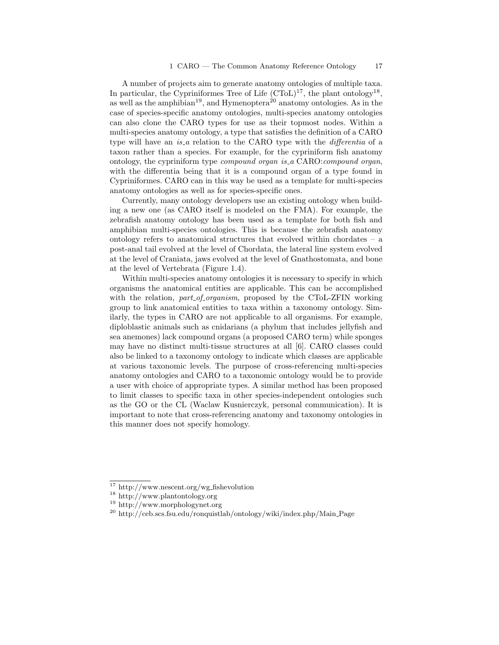A number of projects aim to generate anatomy ontologies of multiple taxa. In particular, the Cypriniformes Tree of Life  $(CToL)^{17}$ , the plant ontology<sup>18</sup>, as well as the amphibian<sup>19</sup>, and Hymenoptera<sup>20</sup> anatomy ontologies. As in the case of species-specific anatomy ontologies, multi-species anatomy ontologies can also clone the CARO types for use as their topmost nodes. Within a multi-species anatomy ontology, a type that satisfies the definition of a CARO type will have an *is*<sub>-a</sub> relation to the CARO type with the *differentia* of a taxon rather than a species. For example, for the cypriniform fish anatomy ontology, the cypriniform type compound organ is a CARO:compound organ, with the differentia being that it is a compound organ of a type found in Cypriniformes. CARO can in this way be used as a template for multi-species anatomy ontologies as well as for species-specific ones.

Currently, many ontology developers use an existing ontology when building a new one (as CARO itself is modeled on the FMA). For example, the zebrafish anatomy ontology has been used as a template for both fish and amphibian multi-species ontologies. This is because the zebrafish anatomy ontology refers to anatomical structures that evolved within chordates – a post-anal tail evolved at the level of Chordata, the lateral line system evolved at the level of Craniata, jaws evolved at the level of Gnathostomata, and bone at the level of Vertebrata (Figure 1.4).

Within multi-species anatomy ontologies it is necessary to specify in which organisms the anatomical entities are applicable. This can be accomplished with the relation,  $part_of_organism$ , proposed by the CToL-ZFIN working group to link anatomical entities to taxa within a taxonomy ontology. Similarly, the types in CARO are not applicable to all organisms. For example, diploblastic animals such as cnidarians (a phylum that includes jellyfish and sea anemones) lack compound organs (a proposed CARO term) while sponges may have no distinct multi-tissue structures at all [6]. CARO classes could also be linked to a taxonomy ontology to indicate which classes are applicable at various taxonomic levels. The purpose of cross-referencing multi-species anatomy ontologies and CARO to a taxonomic ontology would be to provide a user with choice of appropriate types. A similar method has been proposed to limit classes to specific taxa in other species-independent ontologies such as the GO or the CL (Waclaw Kusnierczyk, personal communication). It is important to note that cross-referencing anatomy and taxonomy ontologies in this manner does not specify homology.

<sup>&</sup>lt;sup>17</sup> http://www.nescent.org/wg\_fishevolution

<sup>18</sup> http://www.plantontology.org

<sup>19</sup> http://www.morphologynet.org

<sup>20</sup> http://ceb.scs.fsu.edu/ronquistlab/ontology/wiki/index.php/Main Page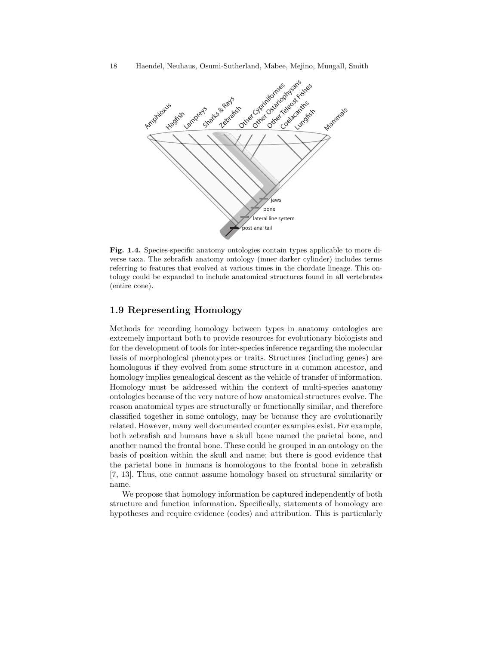

Fig. 1.4. Species-specific anatomy ontologies contain types applicable to more diverse taxa. The zebrafish anatomy ontology (inner darker cylinder) includes terms referring to features that evolved at various times in the chordate lineage. This ontology could be expanded to include anatomical structures found in all vertebrates (entire cone).

## 1.9 Representing Homology

Methods for recording homology between types in anatomy ontologies are extremely important both to provide resources for evolutionary biologists and for the development of tools for inter-species inference regarding the molecular basis of morphological phenotypes or traits. Structures (including genes) are homologous if they evolved from some structure in a common ancestor, and homology implies genealogical descent as the vehicle of transfer of information. Homology must be addressed within the context of multi-species anatomy ontologies because of the very nature of how anatomical structures evolve. The reason anatomical types are structurally or functionally similar, and therefore classified together in some ontology, may be because they are evolutionarily related. However, many well documented counter examples exist. For example, both zebrafish and humans have a skull bone named the parietal bone, and another named the frontal bone. These could be grouped in an ontology on the basis of position within the skull and name; but there is good evidence that the parietal bone in humans is homologous to the frontal bone in zebrafish [7, 13]. Thus, one cannot assume homology based on structural similarity or name.

We propose that homology information be captured independently of both structure and function information. Specifically, statements of homology are hypotheses and require evidence (codes) and attribution. This is particularly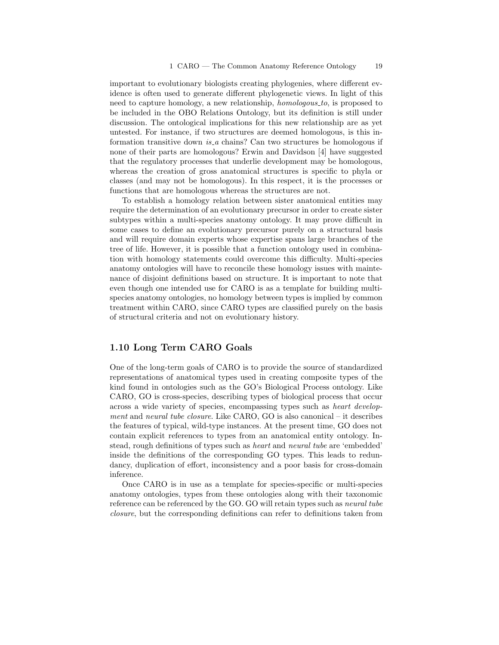important to evolutionary biologists creating phylogenies, where different evidence is often used to generate different phylogenetic views. In light of this need to capture homology, a new relationship, *homologous to*, is proposed to be included in the OBO Relations Ontology, but its definition is still under discussion. The ontological implications for this new relationship are as yet untested. For instance, if two structures are deemed homologous, is this information transitive down is a chains? Can two structures be homologous if none of their parts are homologous? Erwin and Davidson [4] have suggested that the regulatory processes that underlie development may be homologous, whereas the creation of gross anatomical structures is specific to phyla or classes (and may not be homologous). In this respect, it is the processes or functions that are homologous whereas the structures are not.

To establish a homology relation between sister anatomical entities may require the determination of an evolutionary precursor in order to create sister subtypes within a multi-species anatomy ontology. It may prove difficult in some cases to define an evolutionary precursor purely on a structural basis and will require domain experts whose expertise spans large branches of the tree of life. However, it is possible that a function ontology used in combination with homology statements could overcome this difficulty. Multi-species anatomy ontologies will have to reconcile these homology issues with maintenance of disjoint definitions based on structure. It is important to note that even though one intended use for CARO is as a template for building multispecies anatomy ontologies, no homology between types is implied by common treatment within CARO, since CARO types are classified purely on the basis of structural criteria and not on evolutionary history.

## 1.10 Long Term CARO Goals

One of the long-term goals of CARO is to provide the source of standardized representations of anatomical types used in creating composite types of the kind found in ontologies such as the GO's Biological Process ontology. Like CARO, GO is cross-species, describing types of biological process that occur across a wide variety of species, encompassing types such as heart development and neural tube closure. Like CARO, GO is also canonical – it describes the features of typical, wild-type instances. At the present time, GO does not contain explicit references to types from an anatomical entity ontology. Instead, rough definitions of types such as heart and neural tube are 'embedded' inside the definitions of the corresponding GO types. This leads to redundancy, duplication of effort, inconsistency and a poor basis for cross-domain inference.

Once CARO is in use as a template for species-specific or multi-species anatomy ontologies, types from these ontologies along with their taxonomic reference can be referenced by the GO. GO will retain types such as neural tube closure, but the corresponding definitions can refer to definitions taken from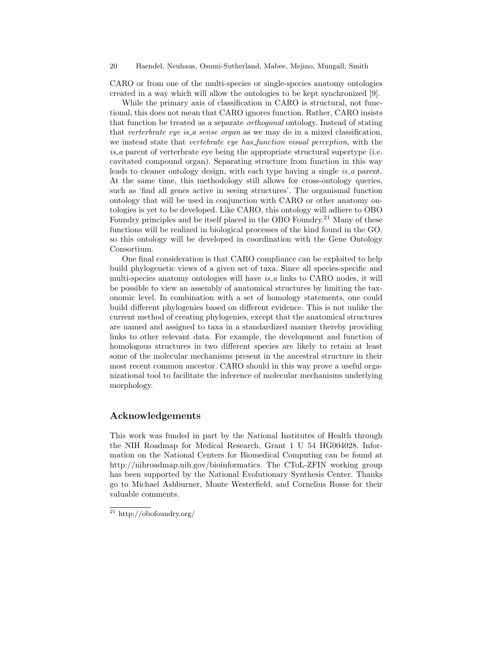CARO or from one of the multi-species or single-species anatomy ontologies created in a way which will allow the ontologies to be kept synchronized [9].

While the primary axis of classification in CARO is structural, not functional, this does not mean that CARO ignores function. Rather, CARO insists that function be treated as a separate orthogonal ontology. Instead of stating that *verterbrate eye is a sense organ* as we may do in a mixed classification, we instead state that *vertebrate eye has-function visual perception*, with the is a parent of verterbrate eye being the appropriate structural supertype (i.e. cavitated compound organ). Separating structure from function in this way leads to cleaner ontology design, with each type having a single is a parent. At the same time, this methodology still allows for cross-ontology queries, such as 'find all genes active in seeing structures'. The organismal function ontology that will be used in conjunction with CARO or other anatomy ontologies is yet to be developed. Like CARO, this ontology will adhere to OBO Foundry principles and be itself placed in the OBO Foundry.<sup>21</sup> Many of these functions will be realized in biological processes of the kind found in the GO, so this ontology will be developed in coordination with the Gene Ontology Consortium.

One final consideration is that CARO compliance can be exploited to help build phylogenetic views of a given set of taxa. Since all species-specific and multi-species anatomy ontologies will have  $is_a$  links to CARO nodes, it will be possible to view an assembly of anatomical structures by limiting the taxonomic level. In combination with a set of homology statements, one could build different phylogenies based on different evidence. This is not unlike the current method of creating phylogenies, except that the anatomical structures are named and assigned to taxa in a standardized manner thereby providing links to other relevant data. For example, the development and function of homologous structures in two different species are likely to retain at least some of the molecular mechanisms present in the ancestral structure in their most recent common ancestor. CARO should in this way prove a useful organizational tool to facilitate the inference of molecular mechanisms underlying morphology.

## Acknowledgements

This work was funded in part by the National Institutes of Health through the NIH Roadmap for Medical Research, Grant 1 U 54 HG004028. Information on the National Centers for Biomedical Computing can be found at http://nihroadmap.nih.gov/bioinformatics. The CToL-ZFIN working group has been supported by the National Evolutionary Synthesis Center. Thanks go to Michael Ashburner, Monte Westerfield, and Cornelius Rosse for their valuable comments.

<sup>21</sup> http://obofoundry.org/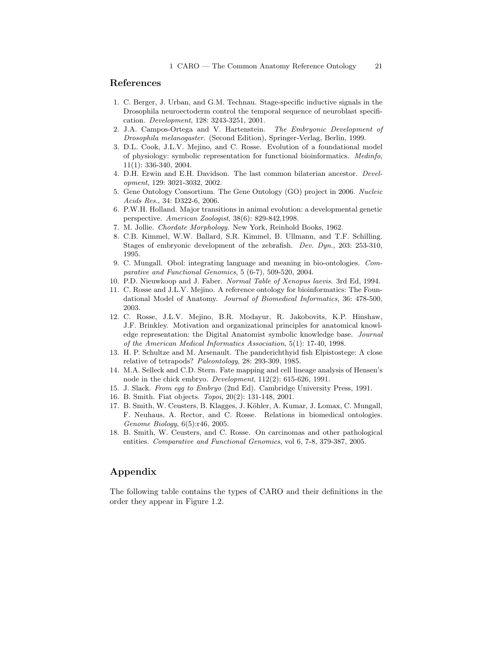#### References

- 1. C. Berger, J. Urban, and G.M. Technau. Stage-specific inductive signals in the Drosophila neuroectoderm control the temporal sequence of neuroblast specification. Development, 128: 3243-3251, 2001.
- 2. J.A. Campos-Ortega and V. Hartenstein. The Embryonic Development of Drosophila melanogaster. (Second Edition), Springer-Verlag, Berlin, 1999.
- 3. D.L. Cook, J.L.V. Mejino, and C. Rosse. Evolution of a foundational model of physiology: symbolic representation for functional bioinformatics. Medinfo, 11(1): 336-340, 2004.
- 4. D.H. Erwin and E.H. Davidson. The last common bilaterian ancestor. Development, 129: 3021-3032, 2002.
- 5. Gene Ontology Consortium. The Gene Ontology (GO) project in 2006. Nucleic Acids Res., 34: D322-6, 2006.
- 6. P.W.H. Holland. Major transitions in animal evolution: a developmental genetic perspective. American Zoologist, 38(6): 829-842,1998.
- 7. M. Jollie. Chordate Morphology. New York, Reinhold Books, 1962.
- 8. C.B. Kimmel, W.W. Ballard, S.R. Kimmel, B. Ullmann, and T.F. Schilling. Stages of embryonic development of the zebrafish. Dev. Dyn., 203: 253-310, 1995.
- 9. C. Mungall. Obol: integrating language and meaning in bio-ontologies. Comparative and Functional Genomics, 5 (6-7), 509-520, 2004.
- 10. P.D. Nieuwkoop and J. Faber. Normal Table of Xenopus laevis. 3rd Ed, 1994.
- 11. C. Rosse and J.L.V. Mejino. A reference ontology for bioinformatics: The Foundational Model of Anatomy. Journal of Biomedical Informatics, 36: 478-500, 2003.
- 12. C. Rosse, J.L.V. Mejino, B.R. Modayur, R. Jakobovits, K.P. Hinshaw, J.F. Brinkley. Motivation and organizational principles for anatomical knowledge representation: the Digital Anatomist symbolic knowledge base. Journal of the American Medical Informatics Association, 5(1): 17-40, 1998.
- 13. H. P. Schultze and M. Arsenault. The panderichthyid fish Elpistostege: A close relative of tetrapods? Paleontology, 28: 293-309, 1985.
- 14. M.A. Selleck and C.D. Stern. Fate mapping and cell lineage analysis of Hensen's node in the chick embryo. Development, 112(2): 615-626, 1991.
- 15. J. Slack. From egg to Embryo (2nd Ed). Cambridge University Press, 1991.
- 16. B. Smith. Fiat objects. Topoi, 20(2): 131-148, 2001.
- 17. B. Smith, W. Ceusters, B. Klagges, J. K¨ohler, A. Kumar, J. Lomax, C. Mungall, F. Neuhaus, A. Rector, and C. Rosse. Relations in biomedical ontologies. Genome Biology, 6(5):r46, 2005.
- 18. B. Smith, W. Ceusters, and C. Rosse. On carcinomas and other pathological entities. Comparative and Functional Genomics, vol 6, 7-8, 379-387, 2005.

## Appendix

The following table contains the types of CARO and their definitions in the order they appear in Figure 1.2.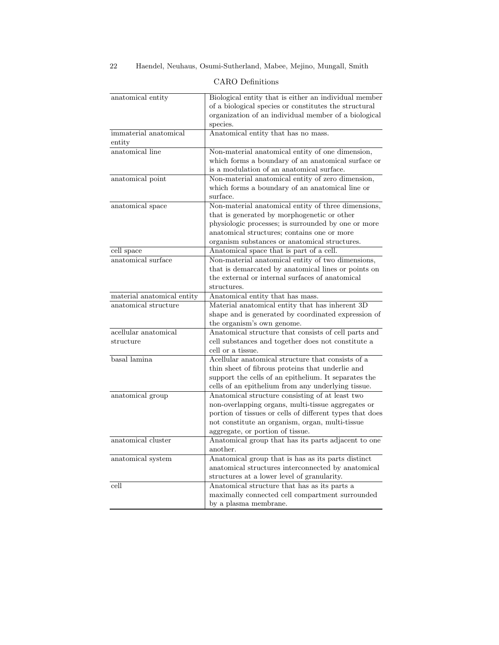| anatomical entity                 | Biological entity that is either an individual member<br>of a biological species or constitutes the structural<br>organization of an individual member of a biological<br>species.                                                                        |
|-----------------------------------|-----------------------------------------------------------------------------------------------------------------------------------------------------------------------------------------------------------------------------------------------------------|
| immaterial anatomical<br>entity   | Anatomical entity that has no mass.                                                                                                                                                                                                                       |
| anatomical line                   | Non-material anatomical entity of one dimension,<br>which forms a boundary of an anatomical surface or<br>is a modulation of an anatomical surface.                                                                                                       |
| anatomical point                  | Non-material anatomical entity of zero dimension,<br>which forms a boundary of an anatomical line or<br>surface.                                                                                                                                          |
| anatomical space                  | Non-material anatomical entity of three dimensions,<br>that is generated by morphogenetic or other<br>physiologic processes; is surrounded by one or more<br>anatomical structures; contains one or more<br>organism substances or anatomical structures. |
| cell space                        | Anatomical space that is part of a cell.                                                                                                                                                                                                                  |
| anatomical surface                | Non-material anatomical entity of two dimensions,<br>that is demarcated by anatomical lines or points on<br>the external or internal surfaces of anatomical<br>structures.                                                                                |
| material anatomical entity        | Anatomical entity that has mass.                                                                                                                                                                                                                          |
| anatomical structure              | Material anatomical entity that has inherent 3D<br>shape and is generated by coordinated expression of<br>the organism's own genome.                                                                                                                      |
| acellular anatomical<br>structure | Anatomical structure that consists of cell parts and<br>cell substances and together does not constitute a<br>cell or a tissue.                                                                                                                           |
| basal lamina                      | Acellular anatomical structure that consists of a<br>thin sheet of fibrous proteins that underlie and<br>support the cells of an epithelium. It separates the<br>cells of an epithelium from any underlying tissue.                                       |
| anatomical group                  | Anatomical structure consisting of at least two<br>non-overlapping organs, multi-tissue aggregates or<br>portion of tissues or cells of different types that does<br>not constitute an organism, organ, multi-tissue<br>aggregate, or portion of tissue.  |
| anatomical cluster                | Anatomical group that has its parts adjacent to one<br>another.                                                                                                                                                                                           |
| anatomical system                 | Anatomical group that is has as its parts distinct<br>anatomical structures interconnected by anatomical<br>structures at a lower level of granularity.                                                                                                   |
| cell                              | Anatomical structure that has as its parts a<br>maximally connected cell compartment surrounded<br>by a plasma membrane.                                                                                                                                  |

CARO Definitions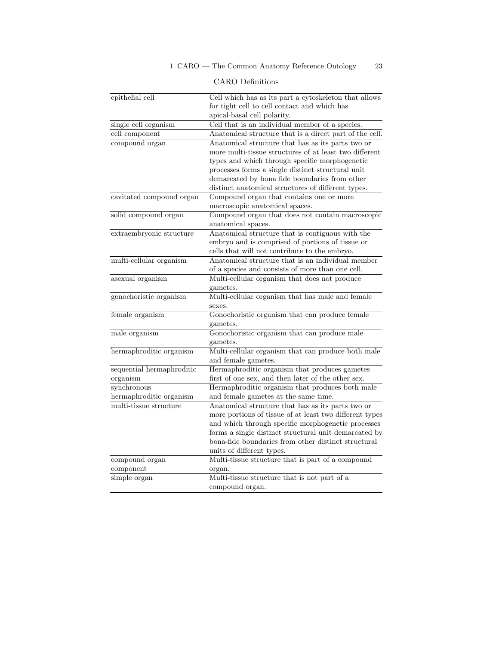| epithelial cell           | Cell which has as its part a cytoskeleton that allows   |
|---------------------------|---------------------------------------------------------|
|                           | for tight cell to cell contact and which has            |
|                           | apical-basal cell polarity.                             |
| single cell organism      | Cell that is an individual member of a species.         |
| cell component            | Anatomical structure that is a direct part of the cell. |
| compound organ            | Anatomical structure that has as its parts two or       |
|                           | more multi-tissue structures of at least two different  |
|                           | types and which through specific morphogenetic          |
|                           | processes forms a single distinct structural unit       |
|                           | demarcated by bona fide boundaries from other           |
|                           | distinct anatomical structures of different types.      |
| cavitated compound organ  | Compound organ that contains one or more                |
|                           | macroscopic anatomical spaces.                          |
| solid compound organ      | Compound organ that does not contain macroscopic        |
|                           | anatomical spaces.                                      |
| extraembryonic structure  | Anatomical structure that is contiguous with the        |
|                           | embryo and is comprised of portions of tissue or        |
|                           | cells that will not contribute to the embryo.           |
| multi-cellular organism   | Anatomical structure that is an individual member       |
|                           | of a species and consists of more than one cell.        |
| asexual organism          | Multi-cellular organism that does not produce           |
|                           | gametes.                                                |
| gonochoristic organism    | Multi-cellular organism that has male and female        |
|                           | sexes.                                                  |
| female organism           | Gonochoristic organism that can produce female          |
|                           | gametes.                                                |
| male organism             | Gonochoristic organism that can produce male            |
|                           | gametes.                                                |
| hermaphroditic organism   | Multi-cellular organism that can produce both male      |
|                           | and female gametes.                                     |
| sequential hermaphroditic | Hermaphroditic organism that produces gametes           |
| organism                  | first of one sex, and then later of the other sex.      |
| synchronous               | Hermaphroditic organism that produces both male         |
| hermaphroditic organism   | and female gametes at the same time.                    |
| multi-tissue structure    | Anatomical structure that has as its parts two or       |
|                           | more portions of tissue of at least two different types |
|                           | and which through specific morphogenetic processes      |
|                           | forms a single distinct structural unit demarcated by   |
|                           | bona-fide boundaries from other distinct structural     |
|                           | units of different types.                               |
| compound organ            | Multi-tissue structure that is part of a compound       |
| component                 | organ.                                                  |
| simple organ              | Multi-tissue structure that is not part of a            |
|                           | compound organ.                                         |

## CARO Definitions